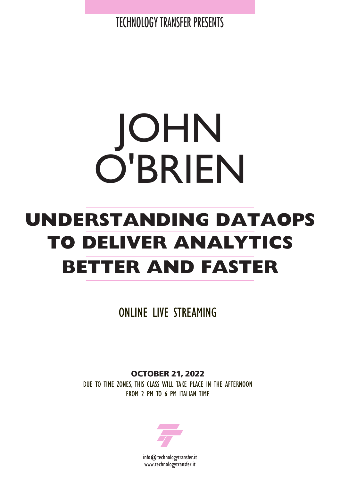TECHNOLOGY TRANSFER PRESENTS

# JOHN O'BRIEN

## **UNDERSTANDING DATAOPS TO DELIVER ANALYTICS BETTER AND FASTER**

ONLINE LIVE STREAMING

**OCTOBER 21, 2022** DUE TO TIME ZONES, THIS CLASS WILL TAKE PLACE IN THE AFTERNOON FROM 2 PM TO 6 PM ITALIAN TIME

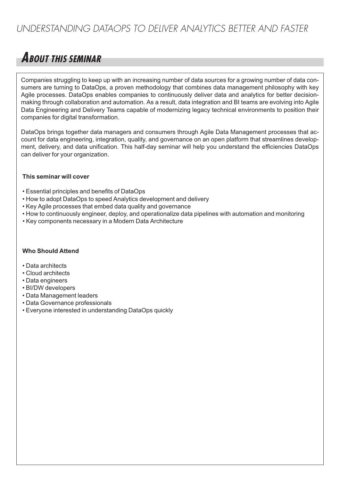### *UNDERSTANDING DATAOPS TO DELIVER ANALYTICS BETTER AND FASTER*

## **ABOUT THIS SEMINAR**

Companies struggling to keep up with an increasing number of data sources for a growing number of data consumers are turning to DataOps, a proven methodology that combines data management philosophy with key Agile processes. DataOps enables companies to continuously deliver data and analytics for better decisionmaking through collaboration and automation. As a result, data integration and BI teams are evolving into Agile Data Engineering and Delivery Teams capable of modernizing legacy technical environments to position their companies for digital transformation.

DataOps brings together data managers and consumers through Agile Data Management processes that account for data engineering, integration, quality, and governance on an open platform that streamlines development, delivery, and data unification. This half-day seminar will help you understand the efficiencies DataOps can deliver for your organization.

#### **This seminar will cover**

- Essential principles and benefits of DataOps
- How to adopt DataOps to speed Analytics development and delivery
- Key Agile processes that embed data quality and governance
- How to continuously engineer, deploy, and operationalize data pipelines with automation and monitoring
- Key components necessary in a Modern Data Architecture

#### **Who Should Attend**

- Data architects
- Cloud architects
- Data engineers
- BI/DW developers
- Data Management leaders
- Data Governance professionals
- Everyone interested in understanding DataOps quickly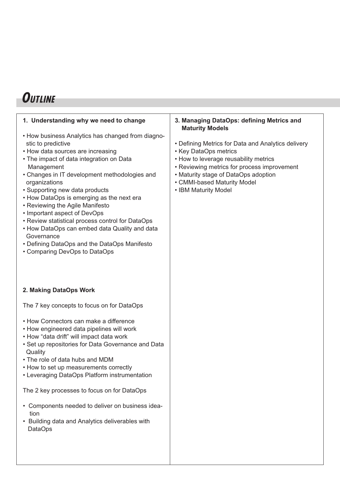## **OUTLINE**

| 1. Understanding why we need to change<br>• How business Analytics has changed from diagno-<br>stic to predictive<br>• How data sources are increasing<br>• The impact of data integration on Data<br>Management<br>• Changes in IT development methodologies and<br>organizations<br>• Supporting new data products<br>• How DataOps is emerging as the next era<br>• Reviewing the Agile Manifesto<br>• Important aspect of DevOps<br>• Review statistical process control for DataOps<br>• How DataOps can embed data Quality and data<br>Governance<br>• Defining DataOps and the DataOps Manifesto<br>• Comparing DevOps to DataOps | 3. Managing DataOps: defining Metrics and<br><b>Maturity Models</b><br>• Defining Metrics for Data and Analytics delivery<br>• Key DataOps metrics<br>• How to leverage reusability metrics<br>• Reviewing metrics for process improvement<br>• Maturity stage of DataOps adoption<br>• CMMI-based Maturity Model<br>• IBM Maturity Model |
|------------------------------------------------------------------------------------------------------------------------------------------------------------------------------------------------------------------------------------------------------------------------------------------------------------------------------------------------------------------------------------------------------------------------------------------------------------------------------------------------------------------------------------------------------------------------------------------------------------------------------------------|-------------------------------------------------------------------------------------------------------------------------------------------------------------------------------------------------------------------------------------------------------------------------------------------------------------------------------------------|
| 2. Making DataOps Work                                                                                                                                                                                                                                                                                                                                                                                                                                                                                                                                                                                                                   |                                                                                                                                                                                                                                                                                                                                           |
| The 7 key concepts to focus on for DataOps<br>• How Connectors can make a difference<br>• How engineered data pipelines will work<br>• How "data drift" will impact data work<br>• Set up repositories for Data Governance and Data<br>Quality<br>• The role of data hubs and MDM<br>• How to set up measurements correctly<br>• Leveraging DataOps Platform instrumentation<br>The 2 key processes to focus on for DataOps                                                                                                                                                                                                              |                                                                                                                                                                                                                                                                                                                                           |
| • Components needed to deliver on business idea-<br>tion<br>• Building data and Analytics deliverables with<br><b>DataOps</b>                                                                                                                                                                                                                                                                                                                                                                                                                                                                                                            |                                                                                                                                                                                                                                                                                                                                           |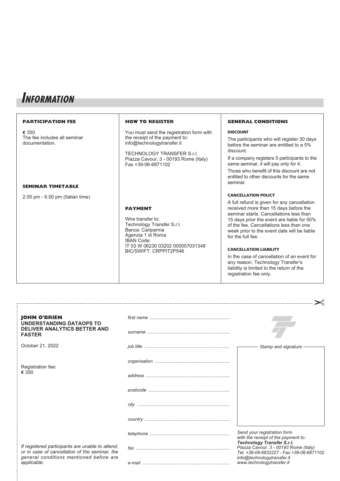## **INFORMATION**

| <b>PARTICIPATION FEE</b>                                                            | <b>HOW TO REGISTER</b>                                                                                                                                                                                | <b>GENERAL CONDITIONS</b>                                                                                                                                                                                                                                                                                                                                                                                                                                                                                              |
|-------------------------------------------------------------------------------------|-------------------------------------------------------------------------------------------------------------------------------------------------------------------------------------------------------|------------------------------------------------------------------------------------------------------------------------------------------------------------------------------------------------------------------------------------------------------------------------------------------------------------------------------------------------------------------------------------------------------------------------------------------------------------------------------------------------------------------------|
| € 350<br>The fee includes all seminar<br>documentation.<br><b>SEMINAR TIMETABLE</b> | You must send the registration form with<br>the receipt of the payment to:<br>info@technologytransfer.it<br>TECHNOLOGY TRANSFER S.r.l.<br>Piazza Cavour, 3 - 00193 Rome (Italy)<br>Fax +39-06-6871102 | <b>DISCOUNT</b><br>The participants who will register 30 days<br>before the seminar are entitled to a 5%<br>discount.<br>If a company registers 5 participants to the<br>same seminar, it will pay only for 4.<br>Those who benefit of this discount are not<br>entitled to other discounts for the same<br>seminar.                                                                                                                                                                                                   |
| $2.00$ pm $-6.00$ pm (Italian time)                                                 | <b>PAYMENT</b><br>Wire transfer to:<br>Technology Transfer S.r.l.<br>Banca: Cariparma<br>Agenzia 1 di Roma<br><b>IBAN Code:</b><br>IT 03 W 06230 03202 000057031348<br>BIC/SWIFT: CRPPIT2P546         | <b>CANCELLATION POLICY</b><br>A full refund is given for any cancellation<br>received more than 15 days before the<br>seminar starts. Cancellations less than<br>15 days prior the event are liable for 50%<br>of the fee. Cancellations less than one<br>week prior to the event date will be liable<br>for the full fee.<br><b>CANCELLATION LIABILITY</b><br>In the case of cancellation of an event for<br>any reason, Technology Transfer's<br>liability is limited to the return of the<br>registration fee only. |

| <b>JOHN O'BRIEN</b><br><b>UNDERSTANDING DATAOPS TO</b>                                                                                                       |                                                                                                                 |
|--------------------------------------------------------------------------------------------------------------------------------------------------------------|-----------------------------------------------------------------------------------------------------------------|
| <b>DELIVER ANALYTICS BETTER AND</b><br><b>FASTER</b>                                                                                                         |                                                                                                                 |
| October 21, 2022                                                                                                                                             | Stamp and signature                                                                                             |
| Registration fee:<br>€ 350                                                                                                                                   |                                                                                                                 |
|                                                                                                                                                              |                                                                                                                 |
|                                                                                                                                                              |                                                                                                                 |
|                                                                                                                                                              |                                                                                                                 |
|                                                                                                                                                              |                                                                                                                 |
| If registered participants are unable to attend,<br>or in case of cancellation of the seminar, the<br>general conditions mentioned before are<br>applicable. | Send your registration form<br>with the receipt of the payment to:<br><b>Technology Transfer S.r.l.</b>         |
|                                                                                                                                                              | Piazza Cavour, 3 - 00193 Rome (Italy)<br>Tel. +39-06-6832227 - Fax +39-06-6871102<br>info@technologytransfer.it |
|                                                                                                                                                              | www.technologytransfer.it                                                                                       |

 $\geq$